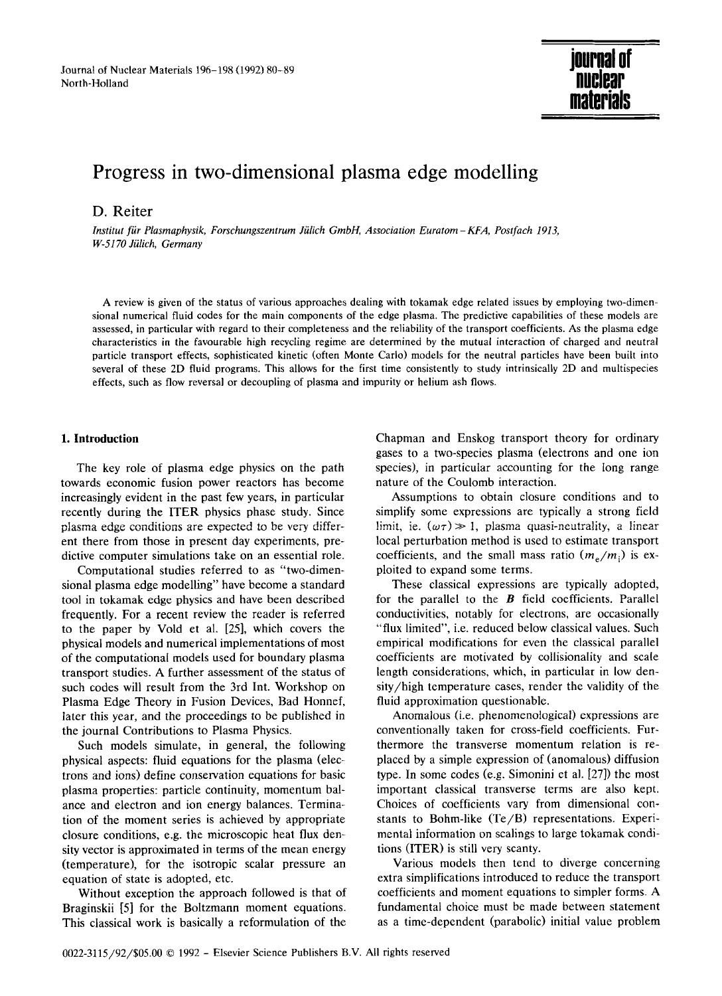

# **Progress in two-dimensional plasma edge modelling**

# **D.** Reiter

*Institut für Plasmaphysik, Forschungszentrum Jülich GmbH, Association Euratom- KFA, Postfach 1913, W-5170 Jiilich, Germany* 

A review is given of the status of various approaches dealing with tokamak edge related issues by employing two-dimensional numerical fluid codes for the main components of the edge plasma. The predictive capabilities of these models are assessed, in particular with regard to their completeness and the reliability of the transport coefficients. As the plasma edge characteristics in the favourable high recycling regime are determined by the mutual interaction of charged and neutral particle transport effects, sophisticated kinetic (often Monte Carlo) models for the neutral particles have been built into several of these 2D fluid programs. This allows for the first time consistently to study intrinsically 2D and multispecies effects, such as flow reversal or decoupling of plasma and impurity or helium ash flows.

# **1. Introduction**

The key role of plasma edge physics on the path towards economic fusion power reactors has become increasingly evident in the past few years, in particular recently during the ITER physics phase study. Since plasma edge conditions are expected to be very different there from those in present day experiments, predictive computer simulations take on an essential role.

Computational studies referred to as "two-dimensional plasma edge modelling" have become a standard tool in tokamak edge physics and have been described frequently. For a recent review the reader is referred to the paper by Void et al. [25], which covers the physical models and numerical implementations of most of the computational models used for boundary plasma transport studies. A further assessment of the status of such codes will result from the 3rd Int. Workshop on Plasma Edge Theory in Fusion Devices, Bad Honnef, later this year, and the proceedings to be published in the journal Contributions to Plasma Physics.

Such models simulate, in general, the following physical aspects: fluid equations for the plasma (electrons and ions) define conservation equations for basic plasma properties: particle continuity, momentum balance and electron and ion energy balances. Termination of the moment series is achieved by appropriate closure conditions, e.g. the microscopic heat flux density vector is approximated in terms of the mean energy (temperature), for the isotropic scalar pressure an equation of state is adopted, etc.

Without exception the approach followed is that of Braginskii [5] for the Boltzmann moment equations. This classical work is basically a reformulation of the

Chapman and Enskog transport theory for ordinary gases to a two-species plasma (electrons and one ion species), in particular accounting for the long range nature of the Coulomb interaction.

Assumptions to obtain closure conditions and to simplify some expressions are typically a strong field limit, ie.  $(\omega \tau) \gg 1$ , plasma quasi-neutrality, a linear local perturbation method is used to estimate transport coefficients, and the small mass ratio  $(m_e/m_i)$  is exploited to expand some terms.

These classical expressions are typically adopted, for the parallel to the  $B$  field coefficients. Parallel conductivities, notably for electrons, are occasionally "flux limited", i.e. reduced below classical values. Such empirical modifications for even the classical parallel coefficients are motivated by collisionality and scale length considerations, which, in particular in low density/high temperature cases, render the validity of the fluid approximation questionable.

Anomalous (i.e. phenomenological) expressions are conventionally taken for cross-field coefficients. Furthermore the transverse momentum relation is replaced by a simple expression of (anomalous) diffusion type. In some codes (e.g. Simonini et al. [27]) the most important classical transverse terms are also kept. Choices of coefficients vary from dimensional constants to Bohm-like (Te/B) representations. Experimental information on scalings to large tokamak conditions (ITER) is still very scanty.

Various models then tend to diverge concerning extra simplifications introduced to reduce the transport coefficients and moment equations to simpler forms. A fundamental choice must be made between statement as a time-dependent (parabolic) initial value problem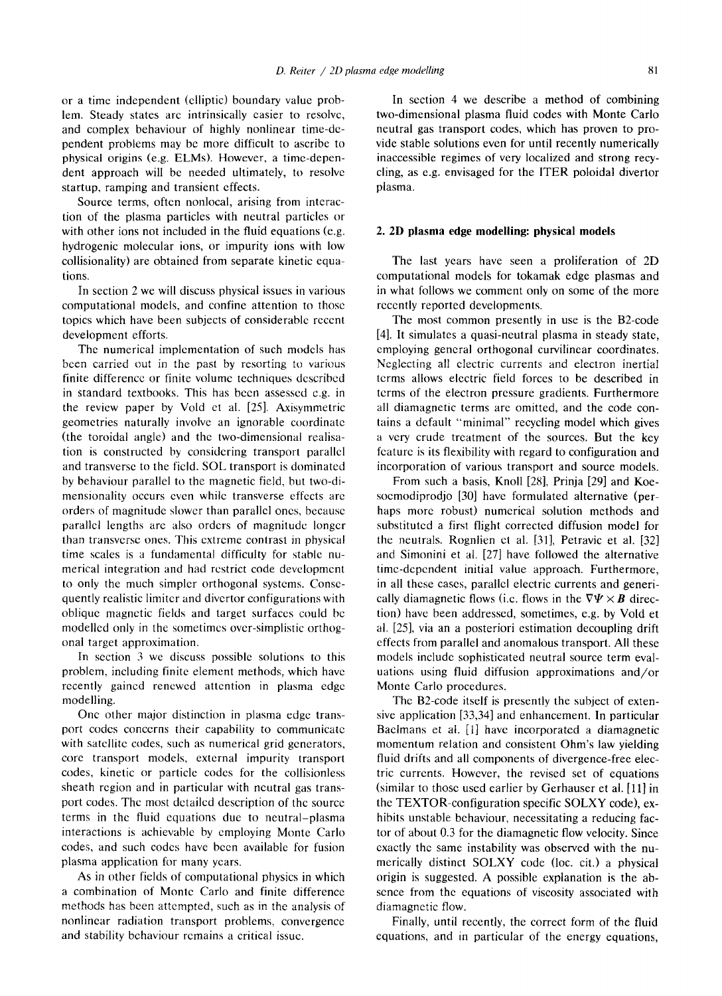or a time independent (elliptic) boundary value problem. Steady states arc intrinsically easier to resolve, and complex behaviour of highly nonlinear time-dependent problems may be more difficult to ascribe to physical origins (e.g. ELMs). However, a time-dependent approach will be needed ultimately, to resolve startup, ramping and transient effects.

Source terms, often nonlocal, arising from interaction of the plasma particles with neutral particles or with other ions not included in the fluid equations (e.g. hydrogenic molecular ions, or impurity ions with low collisionality) are obtained from separate kinetic equations.

In section 2 we will discuss physical issues in various computational models, and confine attention to those topics which have been subjects of considerable recent development efforts.

The numerical implementation of such models has been carried out in the past by resorting to various finite difference or finite volume techniques described in standard textbooks. This has been assessed e.g. in the review paper by Void et al. [25]. Axisymmetric geometries naturally involve an ignorable coordinate (the toroidal angle) and the two-dimensional realisation is constructed by considering transport parallel and transverse to the field. SOL transport is dominated by behaviour parallel to the magnetic field, but two-dimensionality occurs even while transverse effects are orders of magnitude slower than parallel ones, because parallel lengths are also orders of magnitude longer than transverse ones. This extreme contrast in physical time scales is a fundamental difficulty for stable numerical integration and had restrict code development to only the much simpler orthogonal systems. Consequently realistic limitcr and divertor configurations with oblique magnetic fields and target surfaces could be modelled only in the sometimes over-simplistic orthogonal target approximation.

In section 3 we discuss possible solutions to this problem, including finite element methods, which have recently gaincd renewed attention in plasma edge modelling.

One other major distinction in plasma edge transport codes concerns their capability to communicate with satellite codes, such as numerical grid generators, corc transport models, external impurity transport codes, kinetic or particle codes for the collisionless sheath region and in particular with neutral gas transport codes. The most detailed description of the source terms in the fluid equations due to neutral-plasma interactions is achievable by employing Monte Carlo codes, and such codes have been available for fusion plasma application for many years.

As in other fields of computational physics in which a combination of Monte Carlo and finite difference methods has been attempted, such as in the analysis of nonlinear radiation transport problems, convergence and stability bchaviour remains a critical issue.

In section 4 we describe a method of combining two-dimensional plasma fluid codes with Monte Carlo neutral gas transport codes, which has proven to provide stable solutions even for until recently numerically inaccessible regimes of very localized and strong recycling, as e.g. envisaged for the ITER poloidal divertor plasma.

### **2. 2D plasma edge modelling: physical models**

The last years have seen a proliferation of 2D computational models for tokamak edge plasmas and in what follows we comment only on some of the more recently reported developments.

The most common presently in use is the B2-code [4]. It simulates a quasi-neutral plasma in steady state, employing general orthogonal curvilinear coordinates. Neglecting all electric currents and electron inertial terms allows electric field forces to be described in terms of the electron pressure gradients. Furthermore all diamagnetic terms are omitted, and the code contains a default "minimal" recycling model which gives a very crude treatment of the sources. But the key feature is its flexibility with regard to configuration and incorporation of various transport and source models.

From such a basis, Knoll [28], Prinja [29] and Koesoemodiprodjo [30] have formulated alternative (perhaps more robust) numerical solution methods and substituted a first flight corrected diffusion model for the neutrals. Rognlien et al. [31], Petravic et al. [32] and Simonini et al. [27] have followed the alternative time-dependent initial value approach. Furthermore, in all these cases, parallel electric currents and generically diamagnetic flows (i.e. flows in the  $\nabla \Psi \times \mathbf{B}$  direction) have been addressed, sometimes, e.g. by Void et al. [25], via an a posteriori estimation decoupling drift effects from parallel and anomalous transport. All these models include sophisticated neutral source term evaluations using fluid diffusion approximations and/or Monte Carlo procedures.

The B2-eode itself is presently the subject of extensive application [33,34] and enhancement. In particular Baelmans et al. [1] have incorporated a diamagnetic momentum relation and consistent Ohm's law yielding fluid drifts and all components of divergence-free electric currents. However, the revised set of equations (similar to those used earlier by Gerhauser et al. [11] in the TEXTOR-configuration specific SOLXY code), exhibits unstable behaviour, necessitating a reducing factor of about 0.3 for the diamagnetic flow velocity. Since exactly the same instability was observed with the numerically distinct SOLXY code (loc. cit.) a physical origin is suggested. A possible explanation is the absence from the equations of viscosity associated with diamagnetic flow.

Finally, until recently, the correct form of the fluid equations, and in particular of the energy equations,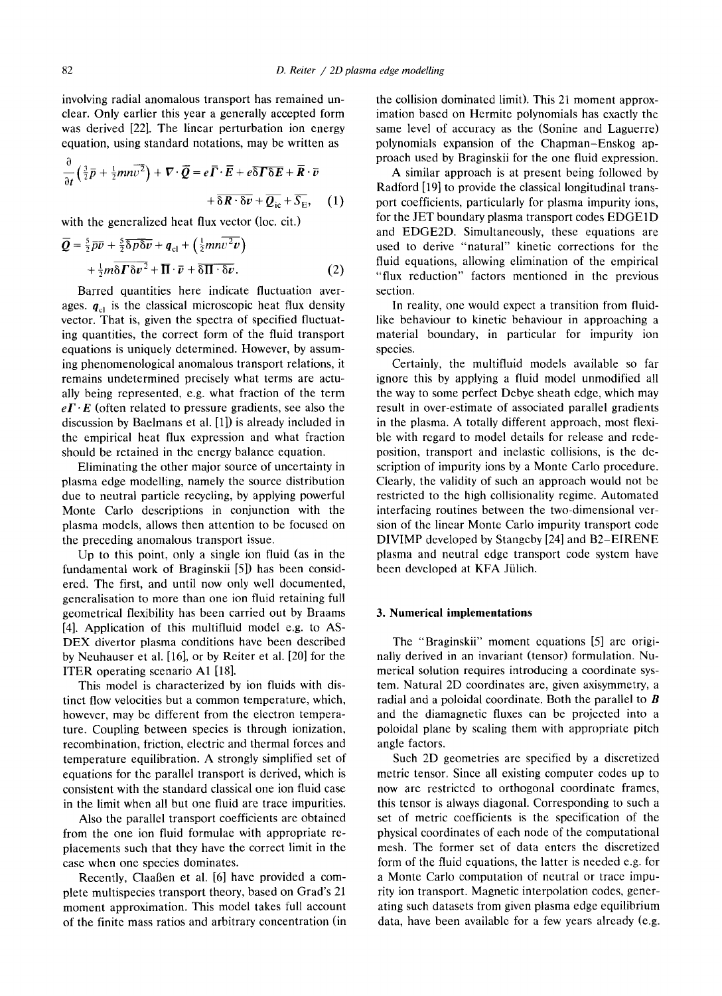involving radial anomalous transport has remained unclear. Only earlier this year a generally accepted form was derived [22]. The linear perturbation ion energy equation, using standard notations, may be written as

$$
\frac{\partial}{\partial t} \left( \frac{3}{2} \overline{p} + \frac{1}{2} m n \overline{v}^2 \right) + \nabla \cdot \overline{Q} = e \overline{\Gamma} \cdot \overline{E} + e \overline{\delta} \Gamma \overline{\delta} \overline{E} + \overline{R} \cdot \overline{v} + \overline{\delta} \overline{R} \cdot \overline{\delta} \overline{v} + \overline{Q_{ie}} + \overline{S_E}, \quad (1)
$$

with the generalized heat flux vector (loc. cit.)

$$
\overline{Q} = \frac{5}{2}\overline{p}\overline{v} + \frac{5}{2}\overline{\delta p}\overline{\delta v} + q_{\rm cl} + (\frac{1}{2}mnv^2v) + \frac{1}{2}m\overline{\delta V}\overline{\delta v}^2 + \Pi \cdot \overline{v} + \overline{\delta \Pi \cdot \delta v}.
$$
 (2)

Barred quantities here indicate fluctuation averages.  $q_{cl}$  is the classical microscopic heat flux density vector. That is, given the spectra of specified fluctuating quantities, the correct form of the fluid transport equations is uniquely determined. However, by assuming phenomenological anomalous transport relations, it remains undetermined precisely what terms are actually being represented, e.g. what fraction of the term  $e\mathbf{F} \cdot \mathbf{E}$  (often related to pressure gradients, see also the discussion by Baelmans et al. [1]) is already included in the empirical heat flux expression and what fraction should be retained in the energy balance equation.

Eliminating the other major source of uncertainty in plasma edge modelling, namely the source distribution due to neutral particle recycling, by applying powerful Monte Carlo descriptions in conjunction with the plasma models, allows then attention to be focused on the preceding anomalous transport issue.

Up to this point, only a single ion fluid (as in the fundamental work of Braginskii [5]) has been considered. The first, and until now only well documented, generalisation to more than one ion fluid retaining full geometrical flexibility has been carried out by Braams [4]. Application of this multifluid model e.g. to AS-DEX divertor plasma conditions have been described by Neuhauser et al. [16], or by Rciter et al. [20] for the ITER operating scenario A1 [18].

This model is characterized by ion fluids with distinct flow velocities but a common temperature, which, however, may be different from the electron temperature. Coupling between species is through ionization, recombination, friction, electric and thermal forces and temperature equilibration. A strongly simplified set of equations for the parallel transport is derived, which is consistent with the standard classical one ion fluid case in the limit when all but one fluid are trace impurities.

Also the parallel transport coefficients are obtained from the one ion fluid formulae with appropriate replacements such that they have the correct limit in the case when one species dominates.

Recently, ClaaSen et al. [6] have provided a complete multispeeies transport theory, based on Grad's 21 moment approximation. This model takes full account of the finite mass ratios and arbitrary concentration (in the collision dominated limit). This 21 moment approximation based on Hermite polynomials has exactly the same level of accuracy as the (Sonine and Laguerre) polynomials expansion of the Chapman-Enskog approach used by Braginskii for the one fluid expression.

A similar approach is at present being followed by Radford [19] to provide the classical longitudinal transport coefficients, particularly for plasma impurity ions, for the JET boundary plasma transport codes EDGE1D and EDGE2D. Simultaneously, these equations are used to derive "natural" kinetic corrections for the fluid equations, allowing elimination of the empirical "flux reduction" factors mentioned in the previous section.

In reality, one would expect a transition from fluidlike behaviour to kinetic behaviour in approaching a material boundary, in particular for impurity ion species.

Certainly, the multifluid models available so far ignore this by applying a fluid model unmodified all the way to some perfect Debye sheath edge, which may result in over-estimate of associated parallel gradients in the plasma. A totally different approach, most flexible with regard to model details for release and redeposition, transport and inelastic collisions, is the description of impurity ions by a Monte Carlo procedure. Clearly, the validity of such an approach would not be restricted to the high collisionality regime. Automated interfacing routines between the two-dimensional version of the linear Monte Carlo impurity transport code DIVIMP developed by Stangeby [24] and B2-EIRENE plasma and neutral edge transport code system have been developed at KFA Jiilich.

## **3. Numerical implementations**

The "Braginskii" moment equations [5] are originally derived in an invariant (tensor) formulation. Numerical solution requires introducing a coordinate system. Natural 2D coordinates are, given axisymmetry, a radial and a poloidal coordinate. Both the parallel to B and the diamagnetic fluxes can be projected into a poloidal plane by scaling them with appropriate pitch angle factors.

Such 2D geometries are specified by a discretized metric tensor. Since all existing computer codes up to now are restricted to orthogonal coordinate frames, this tensor is always diagonal. Corresponding to such a set of metric coefficients is the specification of the physical coordinates of each node of the computational mesh. The former set of data enters the discretized form of the fluid equations, the latter is needed e.g. for a Monte Carlo computation of neutral or trace impurity ion transport. Magnetic interpolation codes, generating such datasets from given plasma edge equilibrium data, have been available for a few years already (e.g.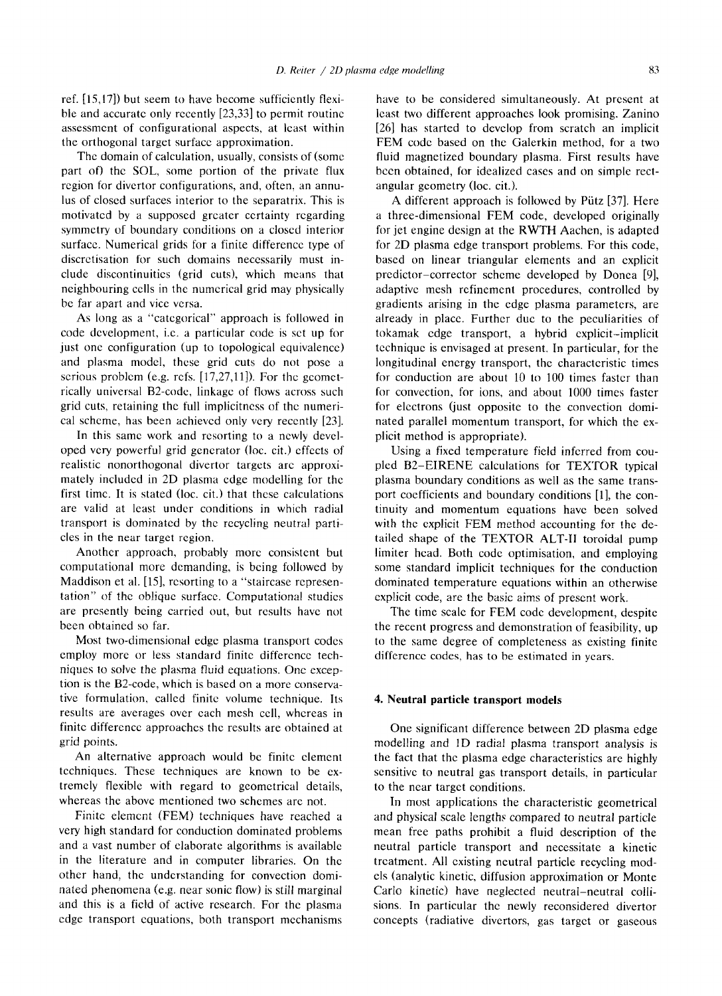ref. [15,17]) but seem to have become sufficiently flexible and accurate only recently [23,33] to permit routine assessment of configurational aspects, at least within the orthogonal target surface approximation.

The domain of calculation, usually, consists of (some part of) the SOL, some portion of the private flux region for divertor configurations, and, often, an annulus of closed surfaces interior to the separatrix. This is motivated by a supposed greater certainty regarding symmetry of boundary conditions on a closed interior surface. Numerical grids for a finite difference type of discrctisation for such domains necessarily must include discontinuities (grid cuts), which means that neighbouring cells in the numerical grid may physically be far apart and vice versa.

As long as a "categorical" approach is followed in code development, i.c. a particular code is set up for just one configuration (up to topological equivalence) and plasma model, these grid cuts do not pose a scrious problem (e.g. rcfs. [17,27,11]). For the geometrically universal B2-code, linkage of flows across such grid cuts, retaining the full implicitness of the numerical scheme, has been achieved only very recently [23].

In this same work and resorting to a newly developed very powerful grid generator (Ioc. cir.) effects of realistic nonorthogonal divertor targets are approximately included in 2D plasma edge modelling for the first time. It is stated (loc. cir.) that these calculations are valid at least under conditions in which radial transport is dominated by the recycling neutral particles in the near target region.

Another approach, probably more consistent but computational more demanding, is being followed by Maddison et al. [15], resorting to a "staircase representation" of the oblique surface. Computational studies are presently being carried out, but results have not been obtained so far.

Most two-dimensional edge plasma transport codes employ more or less standard finite difference techniques to solve the plasma fluid equations. One exception is the B2-code, which is based on a more conservative formulation, called finite volume technique. Its results are averages over each mesh cell, whereas in finite difference approaches the results are obtained at grid points.

An alternative approach would be finite element techniques. These techniques are known to be extremely flexible with regard to geometrical details, whereas the above mentioned two schemes are not.

Finite element (FEM) techniques have reached a very high standard for conduction dominated problems and a vast number of elaborate algorithms is available in the literature and in computer libraries. On the other hand, the understanding for convection dominated phenomena (e.g. near sonic flow) is still marginal and this is a field of active research. For the plasma edge transport equations, both transport mechanisms

have to be considered simultaneously. At present at least two different approaches look promising. Zanino [26] has started to develop from scratch an implicit FEM code based on the Galerkin method, for a two fluid magnetized boundary plasma. First results have been obtained, for idealized cases and on simple rectangular geometry (loc. cit.).

A different approach is followed by Piitz [37]. Here a three-dimensional FEM code, developed originally for jet engine design at the RWTH Aachen, is adapted for 2D plasma edge transport problems. For this code, based on linear triangular elements and an explicit predictor-corrector scheme developed by Donea [9], adaptive mesh refinement procedures, controlled by gradients arising in the edge plasma parameters, are already in place. Further duc to the peculiarities of tokamak edge transport, a hybrid explicit-implicit technique is envisaged at present. In particular, for the longitudinal energy transport, the characteristic times for conduction are about 10 to 100 times faster than for convection, for ions, and about 1000 times faster for electrons (just opposite to the convection dominated parallel momentum transport, for which the explicit method is appropriate).

Using a fixed temperature field inferred from coupled B2-EIRENE calculations for TEXTOR typical plasma boundary conditions as well as the same transport coefficients and boundary conditions [1], the continuity and momentum equations have been solved with the explicit FEM method accounting for the detailed shape of the TEXTOR ALT-II toroidal pump limiter head. Both code optimisation, and employing some standard implicit techniques for the conduction dominated temperature equations within an otherwise explicit code, are the basic aims of present work.

The time scale for FEM code development, despite the recent progress and demonstration of feasibility, up to the same degree of completeness as existing finite difference codes, has to be estimated in years.

#### **4. Neutral particle transport models**

One significant difference between 2D plasma edge modelling and 1D radial plasma transport analysis is the fact that the plasma edge characteristics are highly sensitive to neutral gas transport details, in particular to the near target conditions.

In most applications the characteristic geometrical and physical scale lengths compared to neutral particle mean free paths prohibit a fluid description of the neutral particle transport and necessitate a kinetic treatment. All existing neutral particle recycling models (analytic kinetic, diffusion approximation or Monte Carlo kinetic) have neglected neutral-neutral collisions. In particular the newly reconsidered divertor concepts (radiative divertors, gas target or gaseous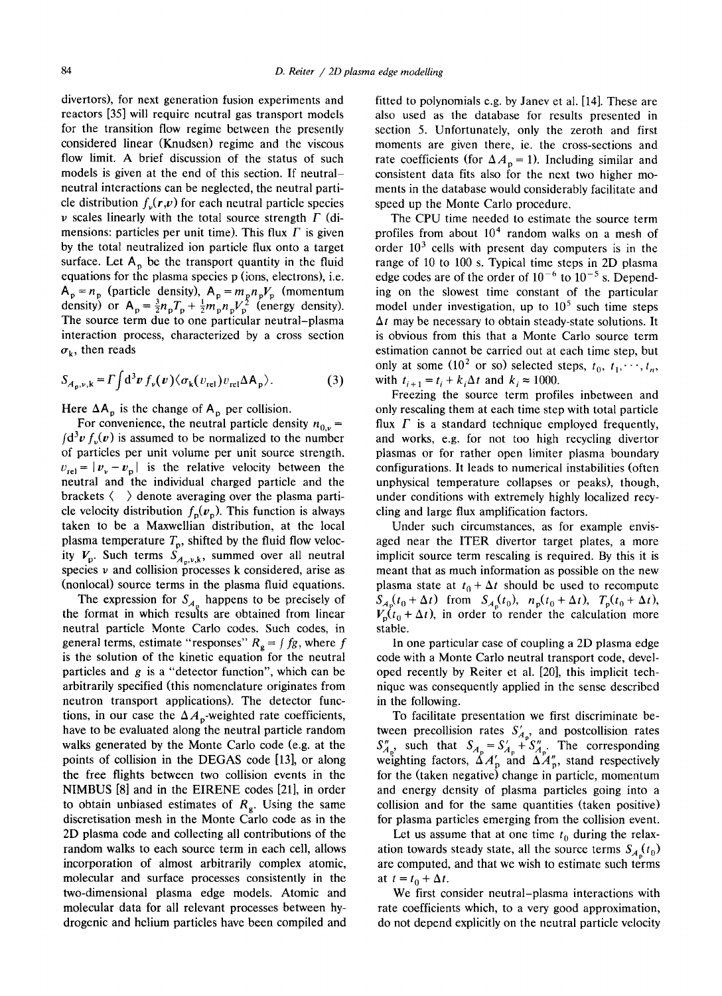divertors), for next generation fusion experiments and reactors [35] will require neutral gas transport models for the transition flow regime between the presently considered linear (Knudsen) regime and the viscous flow limit. A brief discussion of the status of such models is given at the end of this section. If neutralneutral interactions can be neglected, the neutral particle distribution  $f_{n}(r,v)$  for each neutral particle species  $\nu$  scales linearly with the total source strength  $\Gamma$  (dimensions: particles per unit time). This flux  $\Gamma$  is given by the total neutralized ion particle flux onto a target surface. Let  $A<sub>n</sub>$  be the transport quantity in the fluid equations for the plasma species p (ions, electrons), i.e.  $A_p = n_p$  (particle density),  $A_p = m_p n_p V_p$  (momentum density) or  $A_p = \frac{3}{2}n_pT_p + \frac{1}{2}m_p n_pV_p^2$  (energy density). The source term due to one particular neutral-plasma interaction process, characterized by a cross section  $\sigma_k$ , then reads

$$
S_{A_{\mathbf{p}},\nu,\mathbf{k}} = \Gamma \int d^3 v \, f_{\nu}(v) \langle \sigma_{\mathbf{k}}(v_{\text{rel}}) v_{\text{rel}} \Delta A_{\mathbf{p}} \rangle. \tag{3}
$$

Here  $\Delta A_p$  is the change of  $A_p$  per collision.

For convenience, the neutral particle density  $n_{0v}$  =  $f_d^3v f_v(v)$  is assumed to be normalized to the number of particles per unit volume per unit source strength.  $v_{rel} = |v_{v} - v_{n}|$  is the relative velocity between the neutral and the individual charged particle and the brackets  $\langle \rangle$  denote averaging over the plasma particle velocity distribution  $f_p(\nu_p)$ . This function is always taken to be a Maxwellian distribution, at the local plasma temperature  $T_p$ , shifted by the fluid flow velocity  $V_p$ . Such terms  $S_{A_p, v, k}$ , summed over all neutral species  $\nu$  and collision processes k considered, arise as (nonlocal) source terms in the plasma fluid equations.

The expression for  $S_{A_n}$  happens to be precisely of the format in which results are obtained from linear neutral particle Monte Carlo codes. Such codes, in general terms, estimate "responses"  $R<sub>g</sub> = \int fg$ , where f is the solution of the kinetic equation for the neutral particles and  $g$  is a "detector function", which can be arbitrarily specified (this nomenclature originates from neutron transport applications). The detector functions, in our case the  $\Delta A$ <sub>p</sub>-weighted rate coefficients, have to be evaluated along the neutral particle random walks generated by the Monte Carlo code (e.g. at the points of collision in the DEGAS code [13], or along the free flights between two collision events in the NIMBUS [8] and in the EIRENE codes [21], in order to obtain unbiased estimates of  $R<sub>g</sub>$ . Using the same discretisation mesh in the Monte Carlo code as in the 2D plasma code and collecting all contributions of the random walks to each source term in each cell, allows incorporation of almost arbitrarily complex atomic, molecular and surface processes consistently in the two-dimensional plasma edge models. Atomic and molecular data for all relevant processes between hydrogenic and helium particles have been compiled and fitted to polynomials e.g. by Janev et al. [14]. These are also used as the database for results presented in section 5. Unfortunately, only the zeroth and first moments are given there, ie. the cross-sections and rate coefficients (for  $\Delta A_p = 1$ ). Including similar and consistent data fits also for the next two higher moments in the database would considerably facilitate and speed up the Monte Carlo procedure.

The CPU time needed to estimate the source term profiles from about  $10<sup>4</sup>$  random walks on a mesh of order  $10<sup>3</sup>$  cells with present day computers is in the range of 10 to 100 s. Typical time steps in 2D plasma edge codes are of the order of  $10^{-6}$  to  $10^{-5}$  s. Depending on the slowest time constant of the particular model under investigation, up to  $10<sup>5</sup>$  such time steps  $\Delta t$  may be necessary to obtain steady-state solutions. It is obvious from this that a Monte Carlo source term estimation cannot be carried out at each time step, but only at some (10<sup>2</sup> or so) selected steps,  $t_0, t_1, \dots, t_n$ , with  $t_{i+1} = t_i + k_i \Delta t$  and  $k_i \approx 1000$ .

Freezing the source term profiles inbetween and only rescaling them at each time step with total particle flux  $\Gamma$  is a standard technique employed frequently, and works, e.g. for not too high recycling divertor plasmas or for rather open limiter plasma boundary configurations. It leads to numerical instabilities (often unphysical temperature collapses or peaks), though, under conditions with extremely highly localized recycling and large flux amplification factors.

Under such circumstances, as for example envisaged near the ITER divertor target plates, a more implicit source term rescaling is required. By this it is meant that as much information as possible on the new plasma state at  $t_0 + \Delta t$  should be used to recompute  $S_{A_p}(t_0 + \Delta t)$  from  $S_{A_p}(t_0)$ ,  $n_p(t_0 + \Delta t)$ ,  $T_p(t_0 + \Delta t)$ ,  $V_p(t_0 + \Delta t)$ , in order to render the calculation more stable.

In one particular case of coupling a 2D plasma edge code with a Monte Carlo neutral transport code, developed recently by Reiter et al. [20], this implicit technique was consequently applied in the sense described in the following.

To facilitate presentation we first discriminate between precollision rates  $S_{A}$ , and postcollision rates  $S_{A_p}^n$ , such that  $S_{A_p} = S_{A_p}^n + S_{A_p}^n$ . The corresponding weighting factors,  $\Delta A'_n$  and  $\Delta A''_n$ , stand respectively for the (taken negative) change in particle, momentum and energy density of plasma particles going into a collision and for the same quantities (taken positive) for plasma particles emerging from the collision event.

Let us assume that at one time  $t_0$  during the relaxation towards steady state, all the source terms  $S_{A}(t_0)$ are computed, and that we wish to estimate such terms at  $t = t_0 + \Delta t$ .

We first consider neutral-plasma interactions with rate coefficients which, to a very good approximation, do not depend explicitly on the neutral particle velocity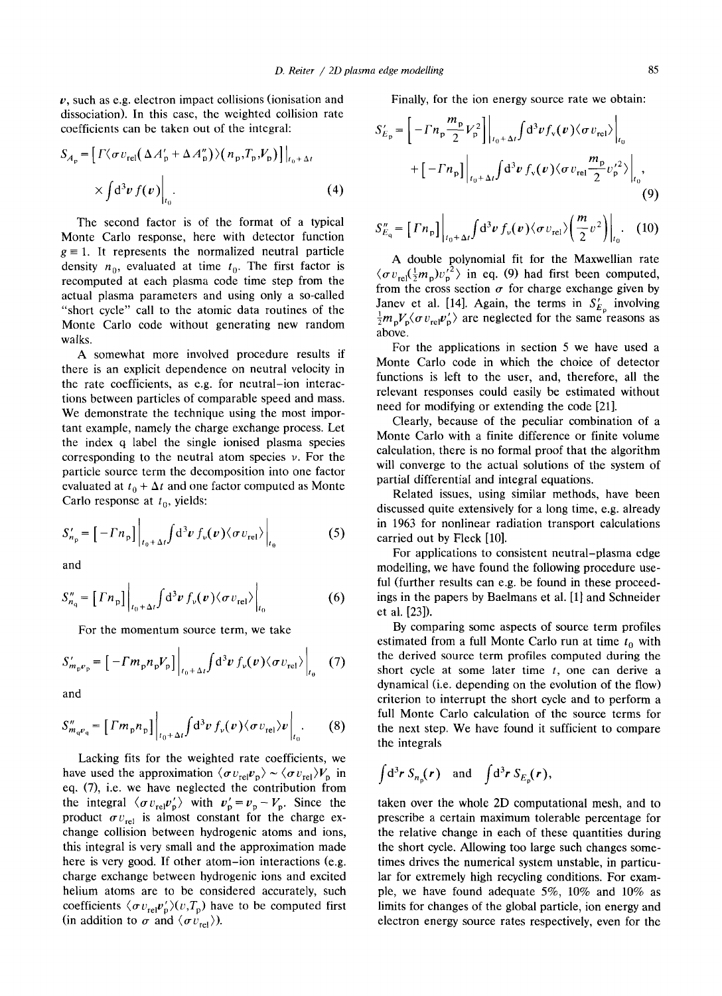$\nu$ , such as e.g. electron impact collisions (ionisation and dissociation). In this case, the weighted collision rate coefficients can be taken out of the integral:

$$
S_{A_{\rm p}} = \left[ \left. \left[ \Gamma \langle \sigma v_{\rm rel} \left( \Delta A'_{\rm p} + \Delta A''_{\rm p} \right) \rangle \left( n_{\rm p}, T_{\rm p}, V_{\rm p} \right) \right] \right|_{t_0 + \Delta t}
$$
\n
$$
\times \int d^3 v \, f(v) \bigg|_{t_0}.
$$
\n(4)

The second factor is of the format of a typical Monte Carlo response, here with detector function  $g \equiv 1$ . It represents the normalized neutral particle density  $n_0$ , evaluated at time  $t_0$ . The first factor is recomputed at each plasma code time step from the actual plasma parameters and using only a so-called "short cycle" call to the atomic data routines of the Monte Carlo code without generating new random walks.

A somewhat more involved procedure results if there is an explicit dependence on neutral velocity in the rate coefficients, as e.g. for neutral-ion interactions between particles of comparable speed and mass. We demonstrate the technique using the most important example, namely the charge exchange process. Let the index q label the single ionised plasma species corresponding to the neutral atom species  $\nu$ . For the particle source term the decomposition into one factor evaluated at  $t_0 + \Delta t$  and one factor computed as Monte Carlo response at  $t_0$ , yields:

$$
S'_{n_{\rm p}} = \left[ -\Gamma n_{\rm p} \right] \bigg|_{t_0 + \Delta t} \int d^3 v \, f_{\nu}(\nu) \langle \sigma v_{\rm rel} \rangle \bigg|_{t_0} \tag{5}
$$

and

$$
S_{n_{\rm q}}'' = \left[ \left. \Gamma n_{\rm p} \right] \right|_{t_0 + \Delta t} \int d^3 v \, f_{\nu}(v) \langle \sigma v_{\rm rel} \rangle \Big|_{t_0} \tag{6}
$$

For the momentum source term, we take

$$
S'_{m_p v_p} = \left[ -\Gamma m_p n_p V_p \right] \Big|_{t_0 + \Delta t} \int d^3 v \, f_\nu(v) \langle \sigma v_{\text{rel}} \rangle \Big|_{t_0} \quad (7)
$$

and

$$
S''_{m_q v_q} = \left[ \Gamma m_p n_p \right] \Big|_{t_0 + \Delta t} \int d^3 v \, f_\nu(v) \langle \sigma v_{\text{rel}} \rangle v \Big|_{t_0} . \tag{8}
$$

Lacking fits for the weighted rate coefficients, we have used the approximation  $\langle \sigma v_{rel} v_p \rangle \sim \langle \sigma v_{rel} \rangle V_p$  in eq. (7), i.e. we have neglected the contribution from the integral  $\langle \sigma v_{\text{rel}} v'_{\text{p}} \rangle$  with  $v'_{\text{p}} = v_{\text{p}} - V_{\text{p}}$ . Since the product  $\sigma v_{rel}$  is almost constant for the charge exchange collision between hydrogenic atoms and ions, this integral is very small and the approximation made here is very good. If other atom-ion interactions (e.g. charge exchange between hydrogenic ions and excited helium atoms are to be considered accurately, such coefficients  $\langle \sigma v_{rel} v_p' \rangle (v, T_p)$  have to be computed first (in addition to  $\sigma$  and  $\langle \sigma v_{rel} \rangle$ ).

Finally, for the ion energy source rate we obtain:

$$
S'_{E_{\rm p}} = \left[ -\Gamma n_{\rm p} \frac{m_{\rm p}}{2} V_{\rm p}^2 \right] \Big|_{t_0 + \Delta t} \int d^3 v f_{\rm v}(v) \langle \sigma v_{\rm rel} \rangle \Big|_{t_0} + \left[ -\Gamma n_{\rm p} \right] \Big|_{t_0 + \Delta t} \int d^3 v f_{\rm v}(v) \langle \sigma v_{\rm rel} \frac{m_{\rm p}}{2} v_{\rm p}^2 \rangle \Big|_{t_0}, \tag{9}
$$

$$
S_{E_{\mathbf{q}}}'' = \left[ \left. \Gamma n_{\mathbf{p}} \right] \right|_{t_0 + \Delta t} \int d^3 v \, f_{\nu}(v) \langle \sigma v_{\text{rel}} \rangle \left( \frac{m}{2} v^2 \right) \bigg|_{t_0} . \quad (10)
$$

A double polynomial fit for the Maxwellian rate  $\langle \sigma v_{\text{rel}}(\frac{1}{2}m_p)v_p'^2 \rangle$  in eq. (9) had first been computed, from the cross section  $\sigma$  for charge exchange given by Janev et al. [14]. Again, the terms in  $S'_{E_n}$  involving  $\frac{1}{2}m_p V_p \langle \sigma v_{\text{rel}} v_p' \rangle$  are neglected for the same reasons as above.

For the applications in section 5 we have used a Monte Carlo code in which the choice of detector functions is left to the user, and, therefore, all the relevant responses could easily be estimated without need for modifying or extending the code [21].

Clearly, because of the peculiar combination of a Monte Carlo with a finite difference or finite volume calculation, there is no formal proof that the algorithm will converge to the actual solutions of the system of partial differential and integral equations.

Related issues, using similar methods, have been discussed quite extensively for a long time, e.g. already in 1963 for nonlinear radiation transport calculations carried out by Fleck [10].

For applications to consistent neutral-plasma edge modelling, we have found the following procedure useful (further results can e.g. be found in these proceedings in the papers by Baelmans et al. [1] and Schneider et al. [23]).

By comparing some aspects of source term profiles estimated from a full Monte Carlo run at time  $t_0$  with the derived source term profiles computed during the short cycle at some later time  $t$ , one can derive a dynamical (i.e. depending on the evolution of the flow) criterion to interrupt the short cycle and to perform a full Monte Carlo calculation of the source terms for the next step. We have found it sufficient to compare the integrals

$$
\int d^3r S_{n_p}(r)
$$
 and  $\int d^3r S_{E_p}(r)$ ,

taken over the whole 2D computational mesh, and to prescribe a certain maximum tolerable percentage for the relative change in each of these quantities during the short cycle. Allowing too large such changes sometimes drives the numerical system unstable, in particular for extremely high recycling conditions. For example, we have found adequate 5%, 10% and 10% as limits for changes of the global particle, ion energy and electron energy source rates respectively, even for the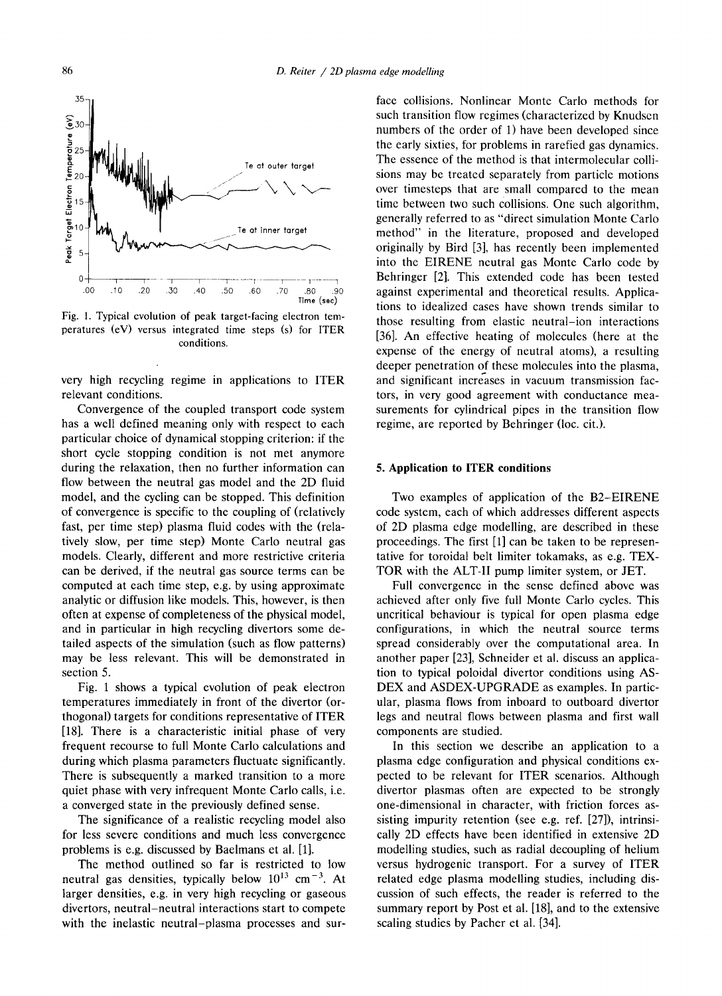

Fig. 1. Typical evolution of peak target-facing electron temperatures (eV) versus integrated time steps (s) for ITER conditions.

very high recycling regime in applications to ITER relevant conditions.

Convergence of the coupled transport code system has a well defined meaning only with respect to each particular choice of dynamical stopping criterion: if the short cycle stopping condition is not met anymore during the relaxation, then no further information can flow between the neutral gas model and the 2D fluid model, and the cycling can be stopped. This definition of convergence is specific to the coupling of (relatively fast, per time step) plasma fluid codes with the (relatively slow, per time step) Monte Carlo neutral gas models. Clearly, different and more restrictive criteria can be derived, if the neutral gas source terms can be computed at each time step, e.g. by using approximate analytic or diffusion like models. This, however, is then often at expense of completeness of the physical model, and in particular in high recycling divertors some detailed aspects of the simulation (such as flow patterns) may be less relevant. This will be demonstrated in section 5.

Fig. 1 shows a typical evolution of peak electron temperatures immediately in front of the divertor (orthogonal) targets for conditions representative of ITER [18]. There is a characteristic initial phase of very frequent recourse to full Monte Carlo calculations and during which plasma parameters fluctuate significantly. There is subsequently a marked transition to a more quiet phase with very infrequent Monte Carlo calls, i.e. a converged state in the previously defined sense.

The significance of a realistic recycling model also for less severe conditions and much less convergence problems is e.g. discussed by Baelmans et al. [1].

The method outlined so far is restricted to low neutral gas densities, typically below  $10^{13}$  cm<sup>-3</sup>. At larger densities, e.g. in very high recycling or gaseous divertors, neutral-neutral interactions start to compete with the inelastic neutral-plasma processes and surface collisions. Nonlinear Monte Carlo methods for such transition flow regimes (characterized by Knudscn numbers of the order of 1) have been developed since the early sixties, for problems in rarefied gas dynamics. The essence of the method is that intermolecular collisions may be treated separately from particle motions over timesteps that are small compared to the mean time between two such collisions. One such algorithm, generally referred to as "direct simulation Monte Carlo method" in the literature, proposed and developed originally by Bird [3], has recently been implemented into the EIRENE neutral gas Monte Carlo code by Behringer [2]. This extended code has been tested against experimental and theoretical results. Applications to idealized cases have shown trends similar to those resulting from elastic neutral-ion interactions [36]. An effective heating of molecules (here at the expense of the energy of neutral atoms), a resulting deeper penetration of these molecules into the plasma, and significant increases in vacuum transmission factors, in very good agreement with conductance measurements for cylindrical pipes in the transition flow regime, are reported by Behringer (loc. cit.).

#### **5. Application to ITER conditions**

Two examples of application of the B2-EIRENE code system, each of which addresses different aspects of 2D plasma edge modelling, are described in these proceedings. The first [1] can be taken to be representative for toroidal belt limiter tokamaks, as e.g. TEX-TOR with the ALT-II pump limiter system, or JET.

Full convergence in the sense defined above was achieved after only five full Monte Carlo cycles. This uncritical behaviour is typical for open plasma edge configurations, in which the neutral source terms spread considerably over the computational area. In another paper [23], Schneider et al. discuss an application to typical poloidal divertor conditions using AS-DEX and ASDEX-UPGRADE as examples. In particular, plasma flows from inboard to outboard divertor legs and neutral flows between plasma and first wall components are studied.

In this section we describe an application to a plasma edge configuration and physical conditions expected to be relevant for ITER scenarios. Although divertor plasmas often are expected to be strongly one-dimensional in character, with friction forces assisting impurity retention (see e.g. ref. [27]), intrinsically 2D effects have been identified in extensive 2D modelling studies, such as radial decoupling of helium versus hydrogenic transport. For a survey of ITER related edge plasma modelling studies, including discussion of such effects, the reader is referred to the summary report by Post et al. [18], and to the extensive scaling studies by Pacher et al. [34].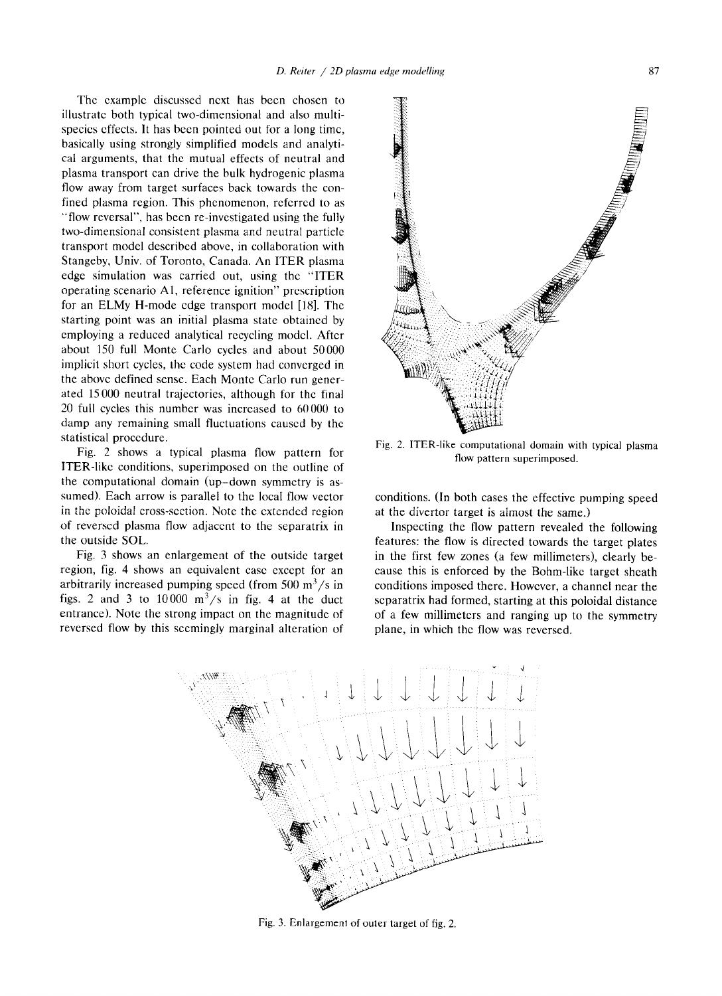The example discussed next has been chosen to illustrate both typical two-dimensional and also multispecies effects. It has been pointed out for a long time, basically using strongly simplified models and analytical arguments, that the mutual effects of neutral and plasma transport can drive the bulk hydrogenic plasma flow away from target surfaces back towards the confined plasma region. This phenomenon, referred to as "flow reversal", has been re-investigated using the fully two-dimensional consistent plasma and neutral particle transport model described above, in collaboration with Stangeby, Univ. of Toronto, Canada. An ITER plasma edge simulation was carried out, using the "ITER operating scenario AI, reference ignition" prescription for an ELMy H-mode edge transport model [18]. The starting point was an initial plasma state obtained by employing a reduced analytical recycling model. After about 150 full Monte Carlo cycles and about 50000 implicil short cycles, the code system had converged in the above defined sensc. Each Monte Carlo run generated 15 000 neutral trajectories, although for the final 20 full cycles this number was increased to 60000 to damp any remaining small fluctuations caused by the statistical procedure.

Fig. 2 shows a typical plasma flow pattern for ITER-Iike conditions, superimposed on the outline of the computational domain (up-down symmetry is assumed). Each arrow is parallel to the local flow vector in the poloidal cross-section. Note the extended region of reversed plasma flow adjacent to the separatrix in the outside SOL.

Fig. 3 shows an enlargement of the outside target region, fig. 4 shows an equivalent case except for an arbitrarily increased pumping speed (from 500  $\text{m}^3/\text{s}$  in figs. 2 and 3 to 10000  $\mathrm{m}^3/\mathrm{s}$  in fig. 4 at the duct entrance). Note the strong impact on the magnitude of reversed flow by this seemingly marginal alteration of



Fig. 2. ITER-like computational domain with typical plasma flow pattern superimposed.

conditions. (In both cases the effective pumping speed at the divertor target is almost the same.)

Inspecting the flow pattern revealed the following features: the flow is directed towards the target plates in the first few zones (a few millimeters), clearly because this is enforced by the Bohm-like target sheath conditions imposed there. However, a channel near the separatrix had formed, starting at this poloidal distance of a few millimeters and ranging up to the symmetry plane, in which the flow was reversed.



**Fig. 3.** Enlargement of ouler target of fig. **2.**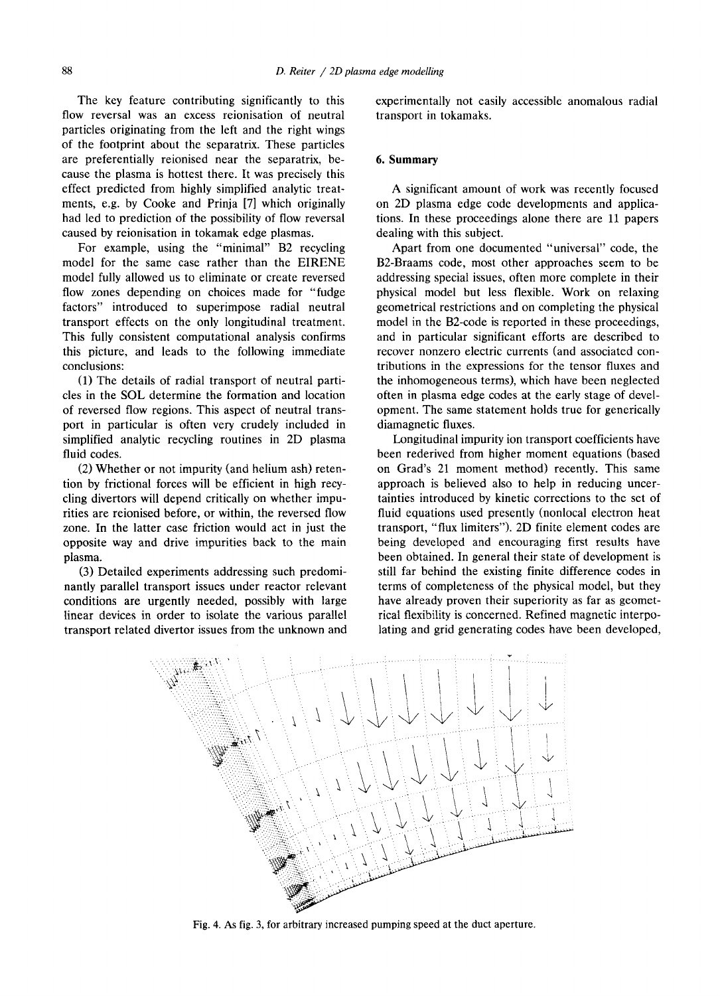The key feature contributing significantly to this flow reversal was an excess reionisation of neutral particles originating from the left and the right wings of the footprint about the separatrix. These particles are preferentially reionised near the separatrix, because the plasma is hottest there. It was precisely this effect predicted from highly simplified analytic treatments, e.g. by Cooke and Prinja [7] which originally had led to prediction of the possibility of flow reversal caused by reionisation in tokamak edge plasmas.

For example, using the "minimal" B2 recycling model for the same case rather than the EIRENE model fully allowed us to eliminate or create reversed flow zones depending on choices made for "fudge factors" introduced to superimpose radial neutral transport effects on the only longitudinal treatment. This fully consistent computational analysis confirms this picture, and leads to the following immediate conclusions:

(1) The details of radial transport of neutral particles in the SOL determine the formation and location of reversed flow regions. This aspect of neutral transport in particular is often very crudely included in simplified analytic recycling routines in 2D plasma fluid codes.

(2) Whether or not impurity (and helium ash) retention by frictional forces will be efficient in high recycling divertors will depend critically on whether impurities are reionised before, or within, the reversed flow zone. In the latter case friction would act in just the opposite way and drive impurities back to the main plasma.

(3) Detailed experiments addressing such predominantly parallel transport issues under reactor relevant conditions are urgently needed, possibly with large linear devices in order to isolate the various parallel transport related divertor issues from the unknown and experimentally not easily accessible anomalous radial transport in tokamaks.

#### **6. Summary**

A significant amount of work was recently focused on 2D plasma edge code developments and applications. In these proceedings alone there are 11 papers dealing with this subject.

Apart from one documented "universal" code, the B2-Braams code, most other approaches seem to be addressing special issues, often more complete in their physical model but less flexible. Work on relaxing geometrical restrictions and on completing the physical model in the B2-code is reported in these proceedings, and in particular significant efforts are described to recover nonzero electric currents (and associated contributions in the expressions for the tensor fluxes and the inhomogeneous terms), which have been neglected often in plasma edge codes at the early stage of development. The same statement holds true for generically diamagnetic fluxes.

Longitudinal impurity ion transport coefficients have been rederived from higher moment equations (based on Grad's 21 moment method) recently. This same approach is believed also to help in reducing uncertainties introduced by kinetic corrections to the set of fluid equations used presently (nonlocal electron heat transport, "flux limiters"). 2D finite element codes are being developed and encouraging first results have been obtained. In general their state of development is still far behind the existing finite difference codes in terms of completeness of the physical model, but they have already proven their superiority as far as geometrical flexibility is concerned. Refined magnetic interpolating and grid generating codes have been developed,



Fig. 4. As fig. 3, for arbitrary increased pumping speed at the duct aperture.